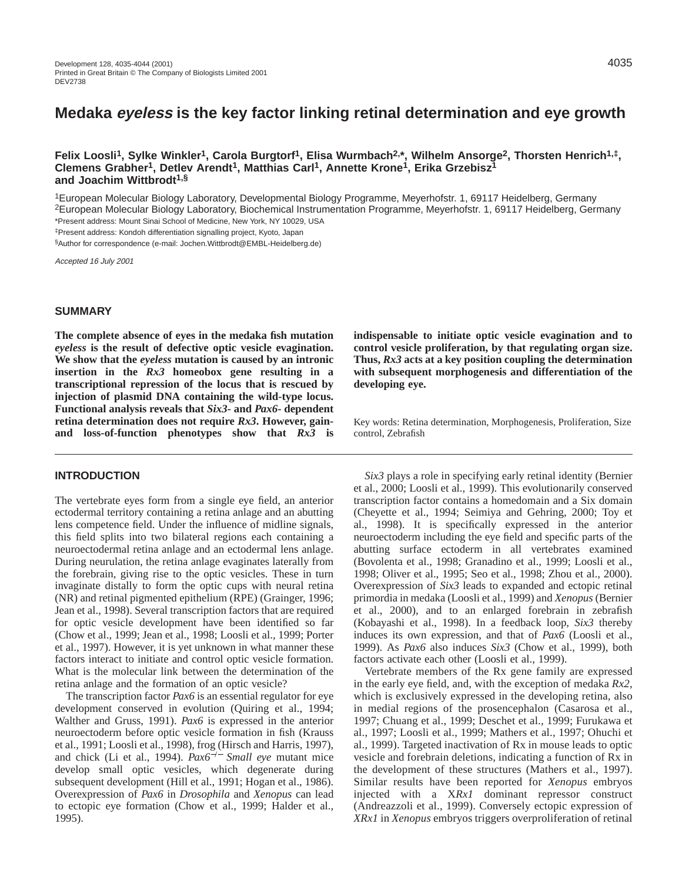**Felix Loosli1, Sylke Winkler1, Carola Burgtorf1, Elisa Wurmbach2,\*, Wilhelm Ansorge2, Thorsten Henrich1,‡, Clemens Grabher1, Detlev Arendt1, Matthias Carl1, Annette Krone1, Erika Grzebisz1 and Joachim Wittbrodt1,§**

1European Molecular Biology Laboratory, Developmental Biology Programme, Meyerhofstr. 1, 69117 Heidelberg, Germany 2European Molecular Biology Laboratory, Biochemical Instrumentation Programme, Meyerhofstr. 1, 69117 Heidelberg, Germany \*Present address: Mount Sinai School of Medicine, New York, NY 10029, USA ‡Present address: Kondoh differentiation signalling project, Kyoto, Japan

§Author for correspondence (e-mail: Jochen.Wittbrodt@EMBL-Heidelberg.de)

Accepted 16 July 2001

# **SUMMARY**

**The complete absence of eyes in the medaka fish mutation** *eyeless* **is the result of defective optic vesicle evagination. We show that the** *eyeless* **mutation is caused by an intronic insertion in the** *Rx3* **homeobox gene resulting in a transcriptional repression of the locus that is rescued by injection of plasmid DNA containing the wild-type locus. Functional analysis reveals that** *Six3-* **and** *Pax6***- dependent retina determination does not require** *Rx3***. However, gainand loss-of-function phenotypes show that** *Rx3* **is**

## **INTRODUCTION**

The vertebrate eyes form from a single eye field, an anterior ectodermal territory containing a retina anlage and an abutting lens competence field. Under the influence of midline signals, this field splits into two bilateral regions each containing a neuroectodermal retina anlage and an ectodermal lens anlage. During neurulation, the retina anlage evaginates laterally from the forebrain, giving rise to the optic vesicles. These in turn invaginate distally to form the optic cups with neural retina (NR) and retinal pigmented epithelium (RPE) (Grainger, 1996; Jean et al., 1998). Several transcription factors that are required for optic vesicle development have been identified so far (Chow et al., 1999; Jean et al., 1998; Loosli et al., 1999; Porter et al., 1997). However, it is yet unknown in what manner these factors interact to initiate and control optic vesicle formation. What is the molecular link between the determination of the retina anlage and the formation of an optic vesicle?

The transcription factor *Pax6* is an essential regulator for eye development conserved in evolution (Quiring et al., 1994; Walther and Gruss, 1991). *Pax6* is expressed in the anterior neuroectoderm before optic vesicle formation in fish (Krauss et al., 1991; Loosli et al., 1998), frog (Hirsch and Harris, 1997), and chick (Li et al., 1994). *Pax6*−/<sup>−</sup> *Small eye* mutant mice develop small optic vesicles, which degenerate during subsequent development (Hill et al., 1991; Hogan et al., 1986). Overexpression of *Pax6* in *Drosophila* and *Xenopus* can lead to ectopic eye formation (Chow et al., 1999; Halder et al., 1995).

**indispensable to initiate optic vesicle evagination and to control vesicle proliferation, by that regulating organ size. Thus,** *Rx3* **acts at a key position coupling the determination with subsequent morphogenesis and differentiation of the developing eye.**

Key words: Retina determination, Morphogenesis, Proliferation, Size control, Zebrafish

*Six3* plays a role in specifying early retinal identity (Bernier et al., 2000; Loosli et al., 1999). This evolutionarily conserved transcription factor contains a homedomain and a Six domain (Cheyette et al., 1994; Seimiya and Gehring, 2000; Toy et al., 1998). It is specifically expressed in the anterior neuroectoderm including the eye field and specific parts of the abutting surface ectoderm in all vertebrates examined (Bovolenta et al., 1998; Granadino et al., 1999; Loosli et al., 1998; Oliver et al., 1995; Seo et al., 1998; Zhou et al., 2000). Overexpression of *Six3* leads to expanded and ectopic retinal primordia in medaka (Loosli et al., 1999) and *Xenopus* (Bernier et al., 2000), and to an enlarged forebrain in zebrafish (Kobayashi et al., 1998). In a feedback loop, *Six3* thereby induces its own expression, and that of *Pax6* (Loosli et al., 1999). As *Pax6* also induces *Six3* (Chow et al., 1999), both factors activate each other (Loosli et al., 1999).

Vertebrate members of the Rx gene family are expressed in the early eye field, and, with the exception of medaka *Rx2*, which is exclusively expressed in the developing retina, also in medial regions of the prosencephalon (Casarosa et al., 1997; Chuang et al., 1999; Deschet et al., 1999; Furukawa et al., 1997; Loosli et al., 1999; Mathers et al., 1997; Ohuchi et al., 1999). Targeted inactivation of Rx in mouse leads to optic vesicle and forebrain deletions, indicating a function of Rx in the development of these structures (Mathers et al., 1997). Similar results have been reported for *Xenopus* embryos injected with a X*Rx1* dominant repressor construct (Andreazzoli et al., 1999). Conversely ectopic expression of *XRx1* in *Xenopus* embryos triggers overproliferation of retinal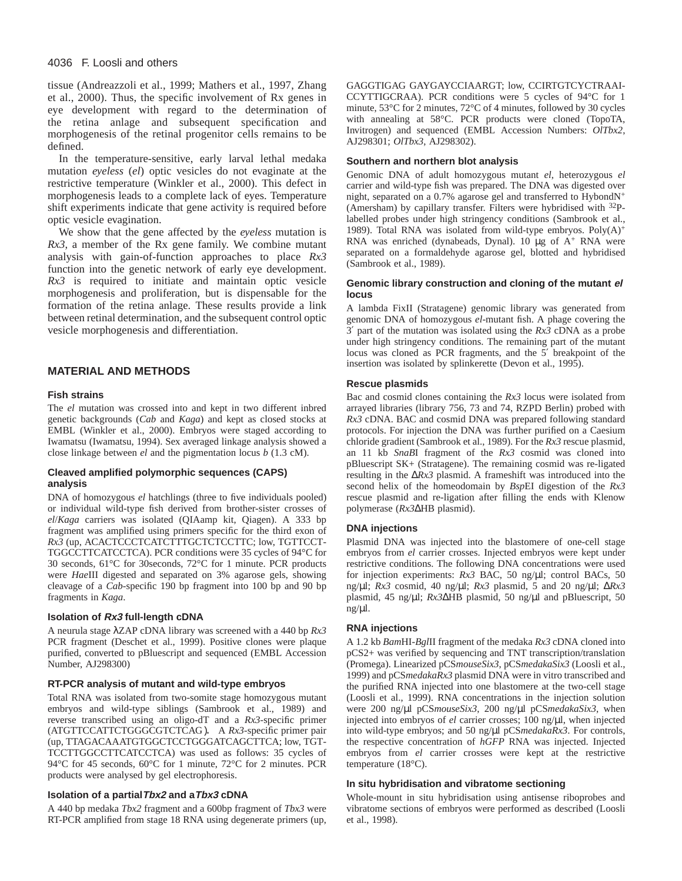# 4036 F. Loosli and others

tissue (Andreazzoli et al., 1999; Mathers et al., 1997, Zhang et al., 2000). Thus, the specific involvement of Rx genes in eye development with regard to the determination of the retina anlage and subsequent specification and morphogenesis of the retinal progenitor cells remains to be defined.

In the temperature-sensitive, early larval lethal medaka mutation *eyeless* (*el*) optic vesicles do not evaginate at the restrictive temperature (Winkler et al., 2000). This defect in morphogenesis leads to a complete lack of eyes. Temperature shift experiments indicate that gene activity is required before optic vesicle evagination.

We show that the gene affected by the *eyeless* mutation is *Rx3*, a member of the Rx gene family. We combine mutant analysis with gain-of-function approaches to place *Rx3* function into the genetic network of early eye development. *Rx3* is required to initiate and maintain optic vesicle morphogenesis and proliferation, but is dispensable for the formation of the retina anlage. These results provide a link between retinal determination, and the subsequent control optic vesicle morphogenesis and differentiation.

# **MATERIAL AND METHODS**

# **Fish strains**

The *el* mutation was crossed into and kept in two different inbred genetic backgrounds (*Cab* and *Kaga*) and kept as closed stocks at EMBL (Winkler et al., 2000). Embryos were staged according to Iwamatsu (Iwamatsu, 1994). Sex averaged linkage analysis showed a close linkage between *el* and the pigmentation locus *b* (1.3 cM).

### **Cleaved amplified polymorphic sequences (CAPS) analysis**

DNA of homozygous *el* hatchlings (three to five individuals pooled) or individual wild-type fish derived from brother-sister crosses of *el*/*Kaga* carriers was isolated (QIAamp kit, Qiagen). A 333 bp fragment was amplified using primers specific for the third exon of Rx3 (up, ACACTCCCTCATCTTTGCTCTCCTTC; low, TGTTCCT-TGGCCTTCATCCTCA). PCR conditions were 35 cycles of 94°C for 30 seconds, 61°C for 30seconds, 72°C for 1 minute. PCR products were *Hae*III digested and separated on 3% agarose gels, showing cleavage of a *Cab*-specific 190 bp fragment into 100 bp and 90 bp fragments in *Kaga*.

# **Isolation of Rx3 full-length cDNA**

A neurula stage λZAP cDNA library was screened with a 440 bp *Rx3* PCR fragment (Deschet et al., 1999). Positive clones were plaque purified, converted to pBluescript and sequenced (EMBL Accession Number, AJ298300)

## **RT-PCR analysis of mutant and wild-type embryos**

Total RNA was isolated from two-somite stage homozygous mutant embryos and wild-type siblings (Sambrook et al., 1989) and reverse transcribed using an oligo-dT and a *Rx3*-specific primer (ATGTTCCATTCTGGGCGTCTCAG). A *Rx3*-specific primer pair (up, TTAGACAAATGTGGCTCCTGGGATCAGCTTCA; low, TGT-TCCTTGGCCTTCATCCTCA) was used as follows: 35 cycles of 94°C for 45 seconds, 60°C for 1 minute, 72°C for 2 minutes. PCR products were analysed by gel electrophoresis.

# **Isolation of a partialTbx2 and aTbx3 cDNA**

A 440 bp medaka *Tbx2* fragment and a 600bp fragment of *Tbx3* were RT-PCR amplified from stage 18 RNA using degenerate primers (up, GAGGTIGAG GAYGAYCCIAARGT; low, CCIRTGTCYCTRAAI-CCYTTIGCRAA). PCR conditions were 5 cycles of 94°C for 1 minute, 53°C for 2 minutes, 72°C of 4 minutes, followed by 30 cycles with annealing at 58°C. PCR products were cloned (TopoTA, Invitrogen) and sequenced (EMBL Accession Numbers: *OlTbx2*, AJ298301; *OlTbx3*, AJ298302).

## **Southern and northern blot analysis**

Genomic DNA of adult homozygous mutant *el*, heterozygous *el* carrier and wild-type fish was prepared. The DNA was digested over night, separated on a 0.7% agarose gel and transferred to HybondN<sup>+</sup> (Amersham) by capillary transfer. Filters were hybridised with 32Plabelled probes under high stringency conditions (Sambrook et al., 1989). Total RNA was isolated from wild-type embryos.  $Poly(A)^{+}$ RNA was enriched (dynabeads, Dynal). 10  $\mu$ g of A<sup>+</sup> RNA were separated on a formaldehyde agarose gel, blotted and hybridised (Sambrook et al., 1989).

## **Genomic library construction and cloning of the mutant el locus**

A lambda FixII (Stratagene) genomic library was generated from genomic DNA of homozygous *el*-mutant fish. A phage covering the 3′ part of the mutation was isolated using the *Rx3* cDNA as a probe under high stringency conditions. The remaining part of the mutant locus was cloned as PCR fragments, and the 5′ breakpoint of the insertion was isolated by splinkerette (Devon et al., 1995).

## **Rescue plasmids**

Bac and cosmid clones containing the *Rx3* locus were isolated from arrayed libraries (library 756, 73 and 74, RZPD Berlin) probed with *Rx3* cDNA. BAC and cosmid DNA was prepared following standard protocols. For injection the DNA was further purified on a Caesium chloride gradient (Sambrook et al., 1989). For the *Rx3* rescue plasmid, an 11 kb *SnaB*I fragment of the *Rx3* cosmid was cloned into pBluescript SK+ (Stratagene). The remaining cosmid was re-ligated resulting in the ∆*Rx3* plasmid. A frameshift was introduced into the second helix of the homeodomain by *Bsp*EI digestion of the *Rx3* rescue plasmid and re-ligation after filling the ends with Klenow polymerase (*Rx3*∆HB plasmid).

# **DNA injections**

Plasmid DNA was injected into the blastomere of one-cell stage embryos from *el* carrier crosses. Injected embryos were kept under restrictive conditions. The following DNA concentrations were used for injection experiments: *Rx3* BAC, 50 ng/µl; control BACs, 50 ng/µl; *Rx3* cosmid, 40 ng/µl; *Rx3* plasmid, 5 and 20 ng/µl; ∆*Rx3* plasmid*,* 45 ng/µl; *Rx3*∆HB plasmid, 50 ng/µl and pBluescript, 50  $ng/µl.$ 

### **RNA injections**

A 1.2 kb *Bam*HI-*Bgl*II fragment of the medaka *Rx3* cDNA cloned into pCS2+ was verified by sequencing and TNT transcription/translation (Promega). Linearized pCS*mouseSix3*, pCS*medakaSix3* (Loosli et al., 1999) and pCS*medakaRx3* plasmid DNA were in vitro transcribed and the purified RNA injected into one blastomere at the two-cell stage (Loosli et al., 1999). RNA concentrations in the injection solution were 200 ng/µl pCS*mouseSix3*, 200 ng/µl pCS*medakaSix3*, when injected into embryos of *el* carrier crosses; 100 ng/µl, when injected into wild-type embryos; and 50 ng/µl pCS*medakaRx3*. For controls, the respective concentration of *hGFP* RNA was injected. Injected embryos from *el* carrier crosses were kept at the restrictive temperature (18°C).

### **In situ hybridisation and vibratome sectioning**

Whole-mount in situ hybridisation using antisense riboprobes and vibratome sections of embryos were performed as described (Loosli et al., 1998).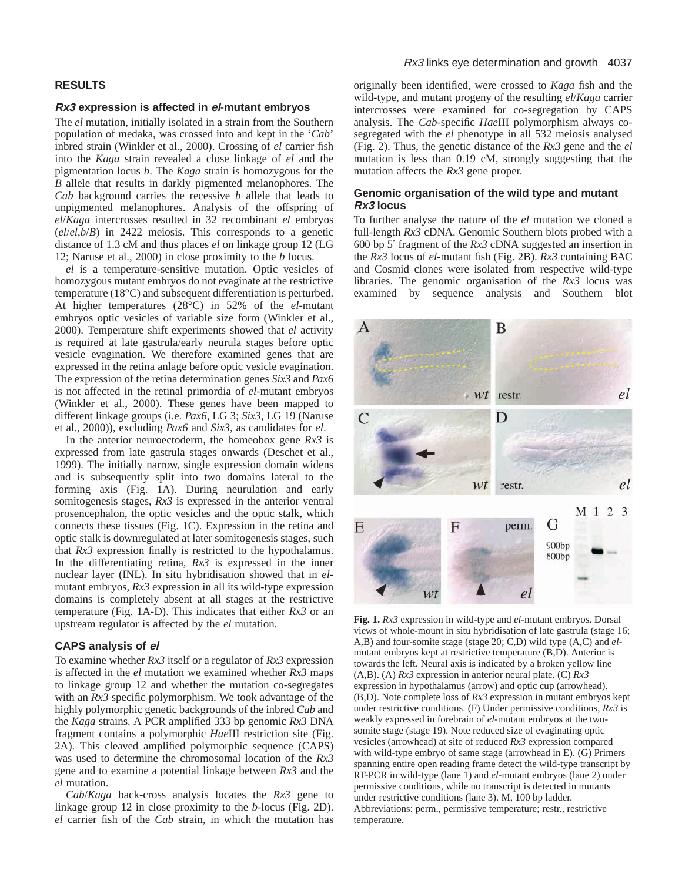# **RESULTS**

### **Rx3 expression is affected in el**-**mutant embryos**

The *el* mutation, initially isolated in a strain from the Southern population of medaka, was crossed into and kept in the '*Cab*' inbred strain (Winkler et al., 2000). Crossing of *el* carrier fish into the *Kaga* strain revealed a close linkage of *el* and the pigmentation locus *b*. The *Kaga* strain is homozygous for the *B* allele that results in darkly pigmented melanophores. The *Cab* background carries the recessive *b* allele that leads to unpigmented melanophores. Analysis of the offspring of *el*/*Kaga* intercrosses resulted in 32 recombinant *el* embryos (*el*/*el*,*b*/*B*) in 2422 meiosis. This corresponds to a genetic distance of 1.3 cM and thus places *el* on linkage group 12 (LG 12; Naruse et al., 2000) in close proximity to the *b* locus.

*el* is a temperature-sensitive mutation. Optic vesicles of homozygous mutant embryos do not evaginate at the restrictive temperature (18°C) and subsequent differentiation is perturbed. At higher temperatures (28°C) in 52% of the *el*-mutant embryos optic vesicles of variable size form (Winkler et al., 2000). Temperature shift experiments showed that *el* activity is required at late gastrula/early neurula stages before optic vesicle evagination. We therefore examined genes that are expressed in the retina anlage before optic vesicle evagination. The expression of the retina determination genes *Six3* and *Pax6* is not affected in the retinal primordia of *el*-mutant embryos (Winkler et al., 2000). These genes have been mapped to different linkage groups (i.e. *Pax6*, LG 3; *Six3*, LG 19 (Naruse et al., 2000)), excluding *Pax6* and *Six3*, as candidates for *el*.

In the anterior neuroectoderm, the homeobox gene *Rx3* is expressed from late gastrula stages onwards (Deschet et al., 1999). The initially narrow, single expression domain widens and is subsequently split into two domains lateral to the forming axis (Fig. 1A). During neurulation and early somitogenesis stages, *Rx3* is expressed in the anterior ventral prosencephalon, the optic vesicles and the optic stalk, which connects these tissues (Fig. 1C). Expression in the retina and optic stalk is downregulated at later somitogenesis stages, such that *Rx3* expression finally is restricted to the hypothalamus. In the differentiating retina, *Rx3* is expressed in the inner nuclear layer (INL). In situ hybridisation showed that in *el*mutant embryos, *Rx3* expression in all its wild-type expression domains is completely absent at all stages at the restrictive temperature (Fig. 1A-D). This indicates that either *Rx3* or an upstream regulator is affected by the *el* mutation.

### **CAPS analysis of el**

To examine whether *Rx3* itself or a regulator of *Rx3* expression is affected in the *el* mutation we examined whether *Rx3* maps to linkage group 12 and whether the mutation co-segregates with an *Rx3* specific polymorphism. We took advantage of the highly polymorphic genetic backgrounds of the inbred *Cab* and the *Kaga* strains. A PCR amplified 333 bp genomic *Rx3* DNA fragment contains a polymorphic *Hae*III restriction site (Fig. 2A). This cleaved amplified polymorphic sequence (CAPS) was used to determine the chromosomal location of the *Rx3* gene and to examine a potential linkage between *Rx3* and the *el* mutation.

*Cab*/*Kaga* back-cross analysis locates the *Rx3* gene to linkage group 12 in close proximity to the *b*-locus (Fig. 2D). *el* carrier fish of the *Cab* strain, in which the mutation has

# Rx3 links eye determination and growth 4037

originally been identified, were crossed to *Kaga* fish and the wild-type, and mutant progeny of the resulting *el*/*Kaga* carrier intercrosses were examined for co-segregation by CAPS analysis. The *Cab*-specific *Hae*III polymorphism always cosegregated with the *el* phenotype in all 532 meiosis analysed (Fig. 2). Thus, the genetic distance of the *Rx3* gene and the *el* mutation is less than 0.19 cM, strongly suggesting that the mutation affects the *Rx3* gene proper.

# **Genomic organisation of the wild type and mutant Rx3 locus**

To further analyse the nature of the *el* mutation we cloned a full-length *Rx3* cDNA. Genomic Southern blots probed with a 600 bp 5′ fragment of the *Rx3* cDNA suggested an insertion in the *Rx3* locus of *el*-mutant fish (Fig. 2B). *Rx3* containing BAC and Cosmid clones were isolated from respective wild-type libraries. The genomic organisation of the *Rx3* locus was examined by sequence analysis and Southern blot



**Fig. 1.** *Rx3* expression in wild-type and *el*-mutant embryos. Dorsal views of whole-mount in situ hybridisation of late gastrula (stage 16; A,B) and four-somite stage (stage 20; C,D) wild type (A,C) and *el*mutant embryos kept at restrictive temperature (B,D). Anterior is towards the left. Neural axis is indicated by a broken yellow line (A,B). (A) *Rx3* expression in anterior neural plate. (C) *Rx3* expression in hypothalamus (arrow) and optic cup (arrowhead). (B,D). Note complete loss of *Rx3* expression in mutant embryos kept under restrictive conditions. (F) Under permissive conditions, *Rx3* is weakly expressed in forebrain of *el*-mutant embryos at the twosomite stage (stage 19). Note reduced size of evaginating optic vesicles (arrowhead) at site of reduced *Rx3* expression compared with wild-type embryo of same stage (arrowhead in E). (G) Primers spanning entire open reading frame detect the wild-type transcript by RT-PCR in wild-type (lane 1) and *el*-mutant embryos (lane 2) under permissive conditions, while no transcript is detected in mutants under restrictive conditions (lane 3). M, 100 bp ladder. Abbreviations: perm., permissive temperature; restr., restrictive temperature.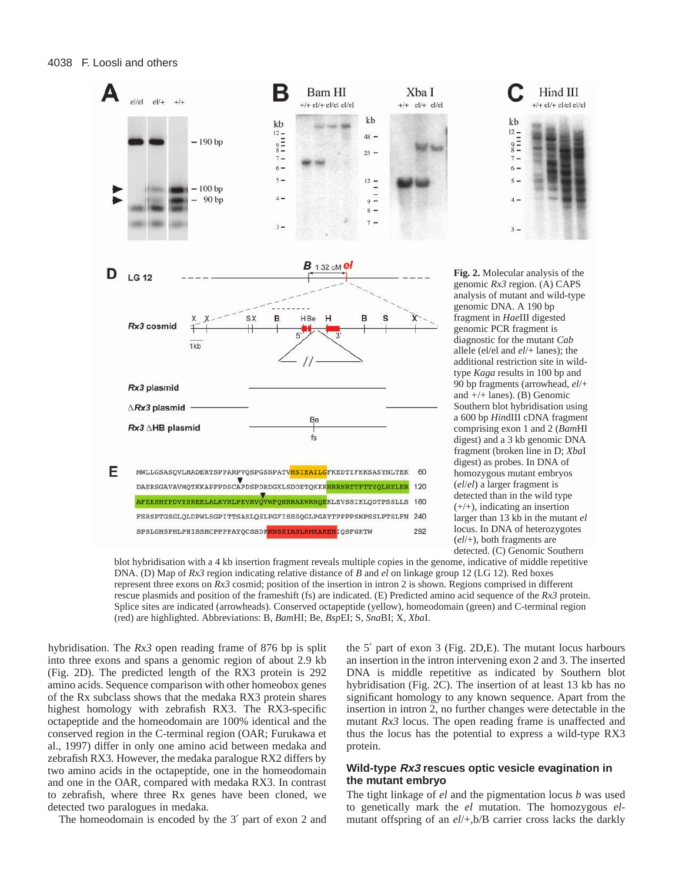

blot hybridisation with a 4 kb insertion fragment reveals multiple copies in the genome, indicative of middle repetitive DNA. (D) Map of *Rx3* region indicating relative distance of *B* and *el* on linkage group 12 (LG 12). Red boxes represent three exons on *Rx3* cosmid; position of the insertion in intron 2 is shown. Regions comprised in different rescue plasmids and position of the frameshift (fs) are indicated. (E) Predicted amino acid sequence of the *Rx3* protein. Splice sites are indicated (arrowheads). Conserved octapeptide (yellow), homeodomain (green) and C-terminal region (red) are highlighted. Abbreviations: B, *Bam*HI; Be, *Bsp*EI; S, *Sna*BI; X, *Xba*I.

hybridisation. The *Rx3* open reading frame of 876 bp is split into three exons and spans a genomic region of about 2.9 kb (Fig. 2D). The predicted length of the RX3 protein is 292 amino acids. Sequence comparison with other homeobox genes of the Rx subclass shows that the medaka RX3 protein shares highest homology with zebrafish RX3. The RX3-specific octapeptide and the homeodomain are 100% identical and the conserved region in the C-terminal region (OAR; Furukawa et al., 1997) differ in only one amino acid between medaka and zebrafish RX3*.* However, the medaka paralogue RX2 differs by two amino acids in the octapeptide, one in the homeodomain and one in the OAR, compared with medaka RX3. In contrast to zebrafish, where three Rx genes have been cloned, we detected two paralogues in medaka.

The homeodomain is encoded by the 3′ part of exon 2 and

the 5′ part of exon 3 (Fig. 2D,E). The mutant locus harbours an insertion in the intron intervening exon 2 and 3. The inserted DNA is middle repetitive as indicated by Southern blot hybridisation (Fig. 2C). The insertion of at least 13 kb has no significant homology to any known sequence. Apart from the insertion in intron 2, no further changes were detectable in the mutant *Rx3* locus. The open reading frame is unaffected and thus the locus has the potential to express a wild-type RX3 protein.

# **Wild-type Rx3 rescues optic vesicle evagination in the mutant embryo**

The tight linkage of *el* and the pigmentation locus *b* was used to genetically mark the *el* mutation. The homozygous *el*mutant offspring of an *el*/+,b/B carrier cross lacks the darkly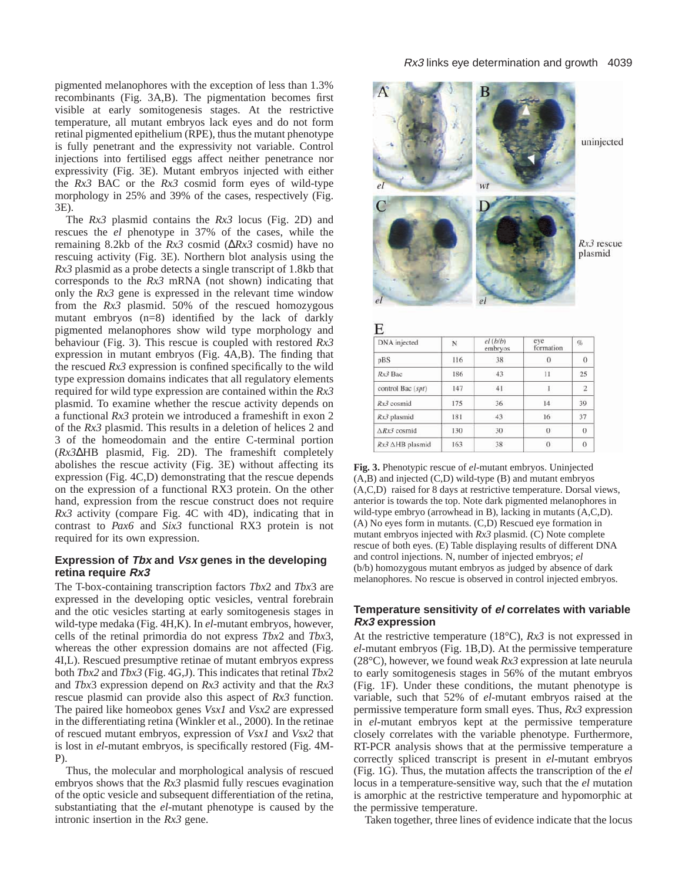pigmented melanophores with the exception of less than 1.3% recombinants (Fig. 3A,B). The pigmentation becomes first visible at early somitogenesis stages. At the restrictive temperature, all mutant embryos lack eyes and do not form retinal pigmented epithelium (RPE), thus the mutant phenotype is fully penetrant and the expressivity not variable. Control injections into fertilised eggs affect neither penetrance nor expressivity (Fig. 3E). Mutant embryos injected with either the *Rx3* BAC or the *Rx3* cosmid form eyes of wild-type morphology in 25% and 39% of the cases, respectively (Fig. 3E).

The *Rx3* plasmid contains the *Rx3* locus (Fig. 2D) and rescues the *el* phenotype in 37% of the cases, while the remaining 8.2kb of the *Rx3* cosmid (∆*Rx3* cosmid) have no rescuing activity (Fig. 3E). Northern blot analysis using the *Rx3* plasmid as a probe detects a single transcript of 1.8kb that corresponds to the *Rx3* mRNA (not shown) indicating that only the *Rx3* gene is expressed in the relevant time window from the *Rx3* plasmid. 50% of the rescued homozygous mutant embryos (n=8) identified by the lack of darkly pigmented melanophores show wild type morphology and behaviour (Fig. 3). This rescue is coupled with restored *Rx3* expression in mutant embryos (Fig. 4A,B). The finding that the rescued *Rx3* expression is confined specifically to the wild type expression domains indicates that all regulatory elements required for wild type expression are contained within the *Rx3* plasmid. To examine whether the rescue activity depends on a functional *Rx3* protein we introduced a frameshift in exon 2 of the *Rx3* plasmid. This results in a deletion of helices 2 and 3 of the homeodomain and the entire C-terminal portion (*Rx3*∆HB plasmid, Fig. 2D). The frameshift completely abolishes the rescue activity (Fig. 3E) without affecting its expression (Fig. 4C,D) demonstrating that the rescue depends on the expression of a functional RX3 protein. On the other hand, expression from the rescue construct does not require *Rx3* activity (compare Fig. 4C with 4D), indicating that in contrast to *Pax6* and *Six3* functional RX3 protein is not required for its own expression.

# **Expression of Tbx and Vsx genes in the developing retina require Rx3**

The T-box-containing transcription factors *Tbx*2 and *Tbx*3 are expressed in the developing optic vesicles, ventral forebrain and the otic vesicles starting at early somitogenesis stages in wild-type medaka (Fig. 4H,K). In *el*-mutant embryos, however, cells of the retinal primordia do not express *Tbx*2 and *Tbx*3, whereas the other expression domains are not affected (Fig. 4I,L). Rescued presumptive retinae of mutant embryos express both *Tbx2* and *Tbx3* (Fig. 4G,J). This indicates that retinal *Tbx*2 and *Tbx*3 expression depend on *Rx3* activity and that the *Rx3* rescue plasmid can provide also this aspect of *Rx3* function. The paired like homeobox genes *Vsx1* and *Vsx2* are expressed in the differentiating retina (Winkler et al., 2000). In the retinae of rescued mutant embryos, expression of *Vsx1* and *Vsx2* that is lost in *el*-mutant embryos, is specifically restored (Fig. 4M-P).

Thus, the molecular and morphological analysis of rescued embryos shows that the *Rx3* plasmid fully rescues evagination of the optic vesicle and subsequent differentiation of the retina, substantiating that the *el*-mutant phenotype is caused by the intronic insertion in the *Rx3* gene.



E DNA injected  $el(b/b)$ eye<br>formation Ġ. N embryos  $38$  $\theta$  $\Omega$ pBS 116 Rx3 Bac 43  $\bar{1}1$  $25$ 186  $\overline{2}$ control Bac (spt) 147 41  $\overline{1}$ Rx3 cosmid 175  $36$  $\overline{14}$ 39 Rx3 plasmid 181 43 16 37 130 30  $\overline{0}$  $\theta$  $ARx3$  cosmid  $Rx3 \triangle HB$  plasmid 163 38  $\theta$  $\overline{0}$ 

**Fig. 3.** Phenotypic rescue of *el*-mutant embryos. Uninjected (A,B) and injected (C,D) wild-type (B) and mutant embryos (A,C,D) raised for 8 days at restrictive temperature. Dorsal views, anterior is towards the top. Note dark pigmented melanophores in wild-type embryo (arrowhead in B), lacking in mutants (A,C,D). (A) No eyes form in mutants. (C,D) Rescued eye formation in mutant embryos injected with *Rx3* plasmid. (C) Note complete rescue of both eyes. (E) Table displaying results of different DNA and control injections. N, number of injected embryos; *el* (b/b) homozygous mutant embryos as judged by absence of dark melanophores. No rescue is observed in control injected embryos.

# **Temperature sensitivity of el correlates with variable Rx3 expression**

At the restrictive temperature (18°C), *Rx3* is not expressed in *el*-mutant embryos (Fig. 1B,D). At the permissive temperature (28°C), however, we found weak *Rx3* expression at late neurula to early somitogenesis stages in 56% of the mutant embryos (Fig. 1F). Under these conditions, the mutant phenotype is variable, such that 52% of *el*-mutant embryos raised at the permissive temperature form small eyes. Thus, *Rx3* expression in *el*-mutant embryos kept at the permissive temperature closely correlates with the variable phenotype. Furthermore, RT-PCR analysis shows that at the permissive temperature a correctly spliced transcript is present in *el*-mutant embryos (Fig. 1G). Thus, the mutation affects the transcription of the *el* locus in a temperature-sensitive way, such that the *el* mutation is amorphic at the restrictive temperature and hypomorphic at the permissive temperature.

Taken together, three lines of evidence indicate that the locus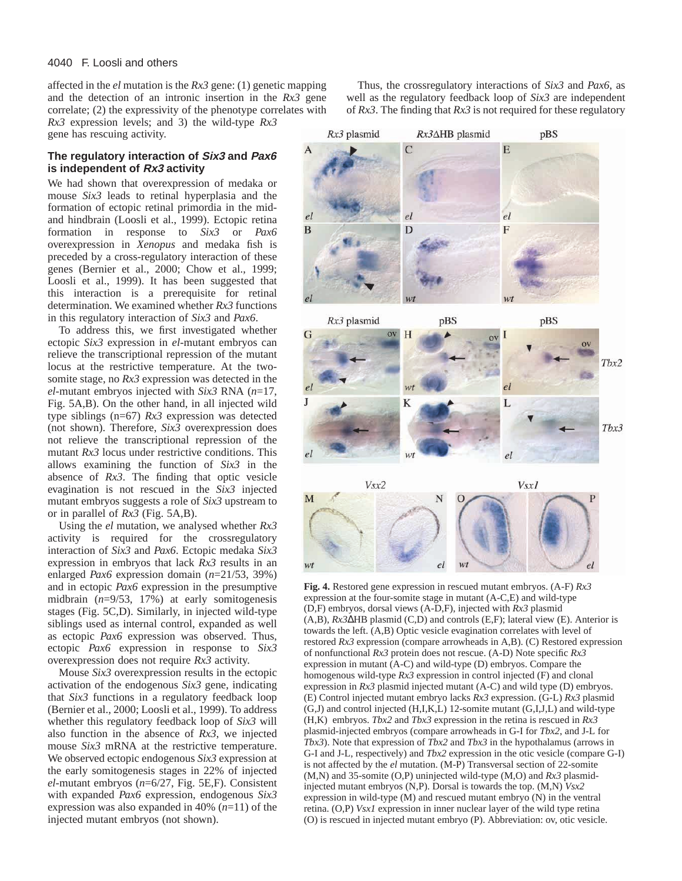affected in the *el* mutation is the *Rx3* gene: (1) genetic mapping and the detection of an intronic insertion in the *Rx3* gene correlate; (2) the expressivity of the phenotype correlates with

Thus, the crossregulatory interactions of *Six3* and *Pax6*, as well as the regulatory feedback loop of *Six3* are independent of *Rx3*. The finding that *Rx3* is not required for these regulatory

*Rx3* expression levels; and 3) the wild-type *Rx3* gene has rescuing activity.

# **The regulatory interaction of Six3 and Pax6 is independent of Rx3 activity**

We had shown that overexpression of medaka or mouse *Six3* leads to retinal hyperplasia and the formation of ectopic retinal primordia in the midand hindbrain (Loosli et al., 1999). Ectopic retina formation in response to *Six3* or *Pax6* overexpression in *Xenopus* and medaka fish is preceded by a cross-regulatory interaction of these genes (Bernier et al., 2000; Chow et al., 1999; Loosli et al., 1999). It has been suggested that this interaction is a prerequisite for retinal determination. We examined whether *Rx3* functions in this regulatory interaction of *Six3* and *Pax6*.

To address this, we first investigated whether ectopic *Six3* expression in *el*-mutant embryos can relieve the transcriptional repression of the mutant locus at the restrictive temperature. At the twosomite stage, no *Rx3* expression was detected in the *el*-mutant embryos injected with *Six3* RNA (*n*=17, Fig. 5A,B). On the other hand, in all injected wild type siblings (n=67) *Rx3* expression was detected (not shown). Therefore, *Six3* overexpression does not relieve the transcriptional repression of the mutant *Rx3* locus under restrictive conditions. This allows examining the function of *Six3* in the absence of *Rx3*. The finding that optic vesicle evagination is not rescued in the *Six3* injected mutant embryos suggests a role of *Six3* upstream to or in parallel of *Rx3* (Fig. 5A,B).

Using the *el* mutation, we analysed whether *Rx3* activity is required for the crossregulatory interaction of *Six3* and *Pax6*. Ectopic medaka *Six3* expression in embryos that lack *Rx3* results in an enlarged *Pax6* expression domain (*n*=21/53, 39%) and in ectopic *Pax6* expression in the presumptive midbrain (*n*=9/53, 17%) at early somitogenesis stages (Fig. 5C,D). Similarly, in injected wild-type siblings used as internal control, expanded as well as ectopic *Pax6* expression was observed. Thus, ectopic *Pax6* expression in response to *Six3* overexpression does not require *Rx3* activity.

Mouse *Six3* overexpression results in the ectopic activation of the endogenous *Six3* gene, indicating that *Six3* functions in a regulatory feedback loop (Bernier et al., 2000; Loosli et al., 1999). To address whether this regulatory feedback loop of *Six3* will also function in the absence of *Rx3*, we injected mouse *Six3* mRNA at the restrictive temperature. We observed ectopic endogenous *Six3* expression at the early somitogenesis stages in 22% of injected *el*-mutant embryos (*n*=6/27, Fig. 5E,F). Consistent with expanded *Pax6* expression, endogenous *Six3* expression was also expanded in 40% (*n*=11) of the injected mutant embryos (not shown).



**Fig. 4.** Restored gene expression in rescued mutant embryos. (A-F) *Rx3* expression at the four-somite stage in mutant (A-C,E) and wild-type (D,F) embryos, dorsal views (A-D,F), injected with *Rx3* plasmid (A,B), *Rx3*∆HB plasmid (C,D) and controls (E,F); lateral view (E). Anterior is towards the left. (A,B) Optic vesicle evagination correlates with level of restored *Rx3* expression (compare arrowheads in A,B). (C) Restored expression of nonfunctional *Rx3* protein does not rescue. (A-D) Note specific *Rx3* expression in mutant (A-C) and wild-type (D) embryos. Compare the homogenous wild-type *Rx3* expression in control injected (F) and clonal expression in *Rx3* plasmid injected mutant (A-C) and wild type (D) embryos. (E) Control injected mutant embryo lacks *Rx3* expression. (G-L) *Rx3* plasmid (G,J) and control injected (H,I,K,L) 12-somite mutant (G,I,J,L) and wild-type (H,K) embryos. *Tbx2* and *Tbx3* expression in the retina is rescued in *Rx3* plasmid-injected embryos (compare arrowheads in G-I for *Tbx2*, and J-L for *Tbx3*). Note that expression of *Tbx2* and *Tbx3* in the hypothalamus (arrows in G-I and J-L, respectively) and *Tbx2* expression in the otic vesicle (compare G-I) is not affected by the *el* mutation. (M-P) Transversal section of 22-somite (M,N) and 35-somite (O,P) uninjected wild-type (M,O) and *Rx3* plasmidinjected mutant embryos (N,P). Dorsal is towards the top. (M,N) *Vsx2* expression in wild-type (M) and rescued mutant embryo (N) in the ventral retina. (O,P) *Vsx1* expression in inner nuclear layer of the wild type retina (O) is rescued in injected mutant embryo (P). Abbreviation: ov, otic vesicle.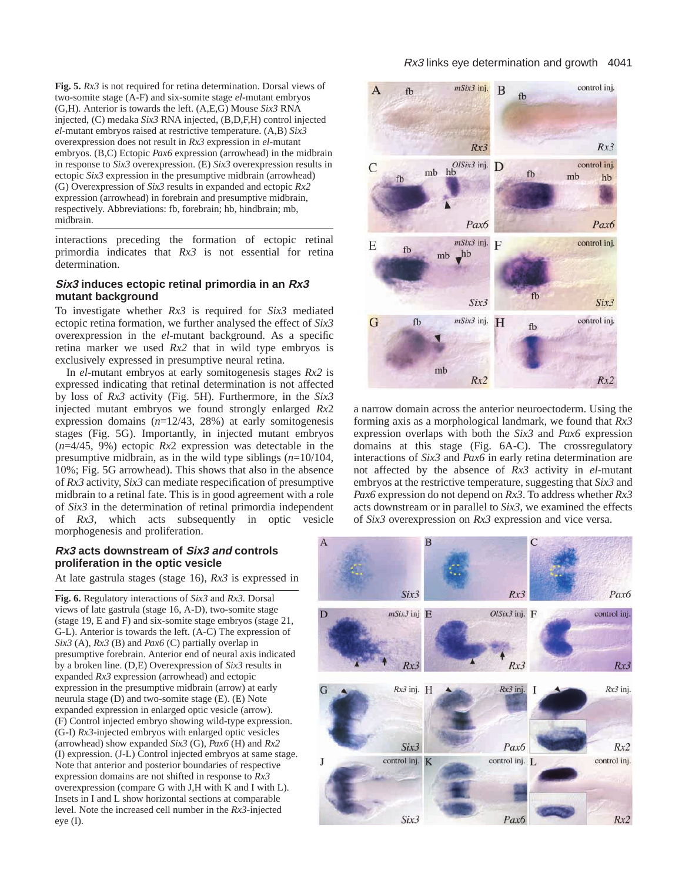**Fig. 5.** *Rx3* is not required for retina determination. Dorsal views of two-somite stage (A-F) and six-somite stage *el*-mutant embryos (G,H). Anterior is towards the left. (A,E,G) Mouse *Six3* RNA injected, (C) medaka *Six3* RNA injected, (B,D,F,H) control injected *el*-mutant embryos raised at restrictive temperature. (A,B) *Six3* overexpression does not result in *Rx3* expression in *el*-mutant embryos. (B,C) Ectopic *Pax6* expression (arrowhead) in the midbrain in response to *Six3* overexpression. (E) *Six3* overexpression results in ectopic *Six3* expression in the presumptive midbrain (arrowhead) (G) Overexpression of *Six3* results in expanded and ectopic *Rx2* expression (arrowhead) in forebrain and presumptive midbrain, respectively. Abbreviations: fb, forebrain; hb, hindbrain; mb, midbrain.

interactions preceding the formation of ectopic retinal primordia indicates that *Rx3* is not essential for retina determination.

## **Six3 induces ectopic retinal primordia in an Rx3 mutant background**

To investigate whether *Rx3* is required for *Six3* mediated ectopic retina formation, we further analysed the effect of *Six3* overexpression in the *el*-mutant background. As a specific retina marker we used *Rx2* that in wild type embryos is exclusively expressed in presumptive neural retina.

In *el*-mutant embryos at early somitogenesis stages *Rx2* is expressed indicating that retinal determination is not affected by loss of *Rx3* activity (Fig. 5H). Furthermore, in the *Six3* injected mutant embryos we found strongly enlarged *Rx*2 expression domains (*n*=12/43, 28%) at early somitogenesis stages (Fig. 5G). Importantly, in injected mutant embryos (*n*=4/45, 9%) ectopic *Rx*2 expression was detectable in the presumptive midbrain, as in the wild type siblings (*n*=10/104, 10%; Fig. 5G arrowhead). This shows that also in the absence of *Rx3* activity, *Six3* can mediate respecification of presumptive midbrain to a retinal fate. This is in good agreement with a role of *Six3* in the determination of retinal primordia independent of *Rx3,* which acts subsequently in optic vesicle morphogenesis and proliferation.

# **Rx3 acts downstream of Six3 and controls proliferation in the optic vesicle**

At late gastrula stages (stage 16), *Rx3* is expressed in

**Fig. 6.** Regulatory interactions of *Six3* and *Rx3.* Dorsal views of late gastrula (stage 16, A-D), two-somite stage (stage 19, E and F) and six-somite stage embryos (stage 21, G-L). Anterior is towards the left. (A-C) The expression of *Six3* (A), *Rx3* (B) and *Pax6* (C) partially overlap in presumptive forebrain. Anterior end of neural axis indicated by a broken line. (D,E) Overexpression of *Six3* results in expanded *Rx3* expression (arrowhead) and ectopic expression in the presumptive midbrain (arrow) at early neurula stage (D) and two-somite stage (E). (E) Note expanded expression in enlarged optic vesicle (arrow). (F) Control injected embryo showing wild-type expression. (G-I) *Rx3*-injected embryos with enlarged optic vesicles (arrowhead) show expanded *Six3* (G), *Pax6* (H) and *Rx2* (I) expression. (J-L) Control injected embryos at same stage. Note that anterior and posterior boundaries of respective expression domains are not shifted in response to *Rx3* overexpression (compare G with J,H with K and I with L). Insets in I and L show horizontal sections at comparable level. Note the increased cell number in the *Rx3*-injected eye (I).



a narrow domain across the anterior neuroectoderm. Using the forming axis as a morphological landmark, we found that *Rx3* expression overlaps with both the *Six3* and *Pax6* expression domains at this stage (Fig. 6A-C). The crossregulatory interactions of *Six3* and *Pax6* in early retina determination are not affected by the absence of *Rx3* activity in *el*-mutant embryos at the restrictive temperature, suggesting that *Six3* and *Pax6* expression do not depend on *Rx3*. To address whether *Rx3* acts downstream or in parallel to *Six3,* we examined the effects of *Six3* overexpression on *Rx3* expression and vice versa.

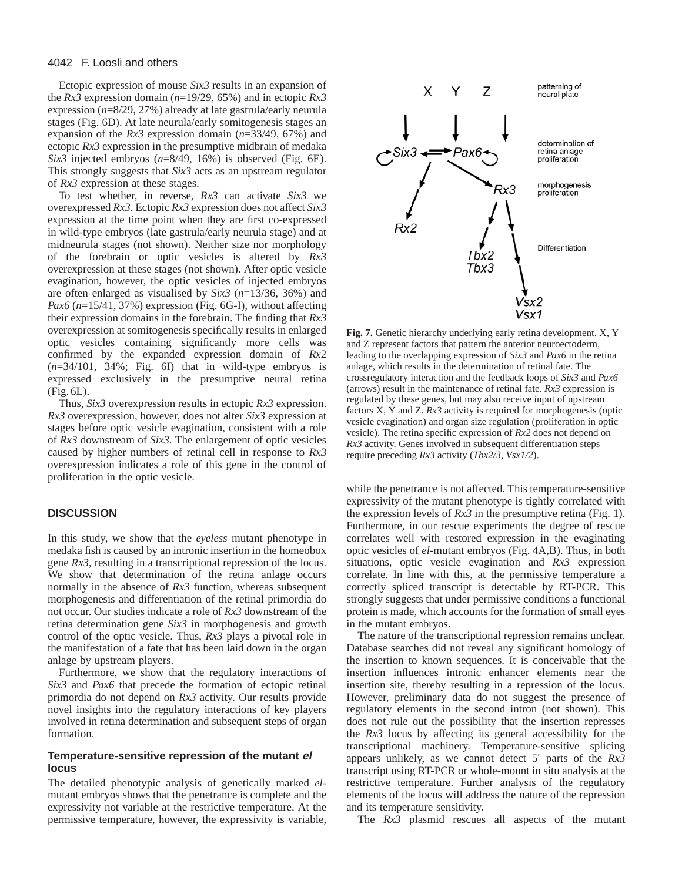### 4042 F. Loosli and others

Ectopic expression of mouse *Six3* results in an expansion of the *Rx3* expression domain (*n*=19/29, 65%) and in ectopic *Rx3* expression (*n*=8/29, 27%) already at late gastrula/early neurula stages (Fig. 6D). At late neurula/early somitogenesis stages an expansion of the *Rx3* expression domain (*n*=33/49, 67%) and ectopic *Rx3* expression in the presumptive midbrain of medaka *Six3* injected embryos (*n*=8/49, 16%) is observed (Fig. 6E). This strongly suggests that *Six3* acts as an upstream regulator of *Rx3* expression at these stages.

To test whether, in reverse, *Rx3* can activate *Six3* we overexpressed *Rx3*. Ectopic *Rx3* expression does not affect *Six3* expression at the time point when they are first co-expressed in wild-type embryos (late gastrula/early neurula stage) and at midneurula stages (not shown). Neither size nor morphology of the forebrain or optic vesicles is altered by *Rx3* overexpression at these stages (not shown). After optic vesicle evagination, however, the optic vesicles of injected embryos are often enlarged as visualised by *Six3* (*n*=13/36, 36%) and *Pax6* (*n*=15/41, 37%) expression (Fig. 6G-I), without affecting their expression domains in the forebrain. The finding that *Rx3* overexpression at somitogenesis specifically results in enlarged optic vesicles containing significantly more cells was confirmed by the expanded expression domain of *Rx*2 (*n*=34/101, 34%; Fig. 6I) that in wild-type embryos is expressed exclusively in the presumptive neural retina (Fig. 6L).

Thus, *Six3* overexpression results in ectopic *Rx3* expression. *Rx3* overexpression, however, does not alter *Six3* expression at stages before optic vesicle evagination, consistent with a role of *Rx3* downstream of *Six3*. The enlargement of optic vesicles caused by higher numbers of retinal cell in response to *Rx3* overexpression indicates a role of this gene in the control of proliferation in the optic vesicle.

# **DISCUSSION**

In this study, we show that the *eyeless* mutant phenotype in medaka fish is caused by an intronic insertion in the homeobox gene *Rx3*, resulting in a transcriptional repression of the locus. We show that determination of the retina anlage occurs normally in the absence of *Rx3* function, whereas subsequent morphogenesis and differentiation of the retinal primordia do not occur. Our studies indicate a role of *Rx3* downstream of the retina determination gene *Six3* in morphogenesis and growth control of the optic vesicle. Thus, *Rx3* plays a pivotal role in the manifestation of a fate that has been laid down in the organ anlage by upstream players.

Furthermore, we show that the regulatory interactions of *Six3* and *Pax6* that precede the formation of ectopic retinal primordia do not depend on *Rx3* activity. Our results provide novel insights into the regulatory interactions of key players involved in retina determination and subsequent steps of organ formation.

# **Temperature-sensitive repression of the mutant el locus**

The detailed phenotypic analysis of genetically marked *el*mutant embryos shows that the penetrance is complete and the expressivity not variable at the restrictive temperature. At the permissive temperature, however, the expressivity is variable,



**Fig. 7.** Genetic hierarchy underlying early retina development. X, Y and Z represent factors that pattern the anterior neuroectoderm, leading to the overlapping expression of *Six3* and *Pax6* in the retina anlage, which results in the determination of retinal fate. The crossregulatory interaction and the feedback loops of *Six3* and *Pax6* (arrows) result in the maintenance of retinal fate. *Rx3* expression is regulated by these genes, but may also receive input of upstream factors X, Y and Z. *Rx3* activity is required for morphogenesis (optic vesicle evagination) and organ size regulation (proliferation in optic vesicle). The retina specific expression of *Rx2* does not depend on *Rx3* activity. Genes involved in subsequent differentiation steps require preceding *Rx3* activity (*Tbx2/3*, *Vsx1/2*).

while the penetrance is not affected. This temperature-sensitive expressivity of the mutant phenotype is tightly correlated with the expression levels of  $Rx3$  in the presumptive retina (Fig. 1). Furthermore, in our rescue experiments the degree of rescue correlates well with restored expression in the evaginating optic vesicles of *el*-mutant embryos (Fig. 4A,B). Thus, in both situations, optic vesicle evagination and *Rx3* expression correlate. In line with this, at the permissive temperature a correctly spliced transcript is detectable by RT-PCR. This strongly suggests that under permissive conditions a functional protein is made, which accounts for the formation of small eyes in the mutant embryos.

The nature of the transcriptional repression remains unclear. Database searches did not reveal any significant homology of the insertion to known sequences. It is conceivable that the insertion influences intronic enhancer elements near the insertion site, thereby resulting in a repression of the locus. However, preliminary data do not suggest the presence of regulatory elements in the second intron (not shown). This does not rule out the possibility that the insertion represses the *Rx3* locus by affecting its general accessibility for the transcriptional machinery. Temperature-sensitive splicing appears unlikely, as we cannot detect 5′ parts of the *Rx3* transcript using RT-PCR or whole-mount in situ analysis at the restrictive temperature. Further analysis of the regulatory elements of the locus will address the nature of the repression and its temperature sensitivity.

The *Rx3* plasmid rescues all aspects of the mutant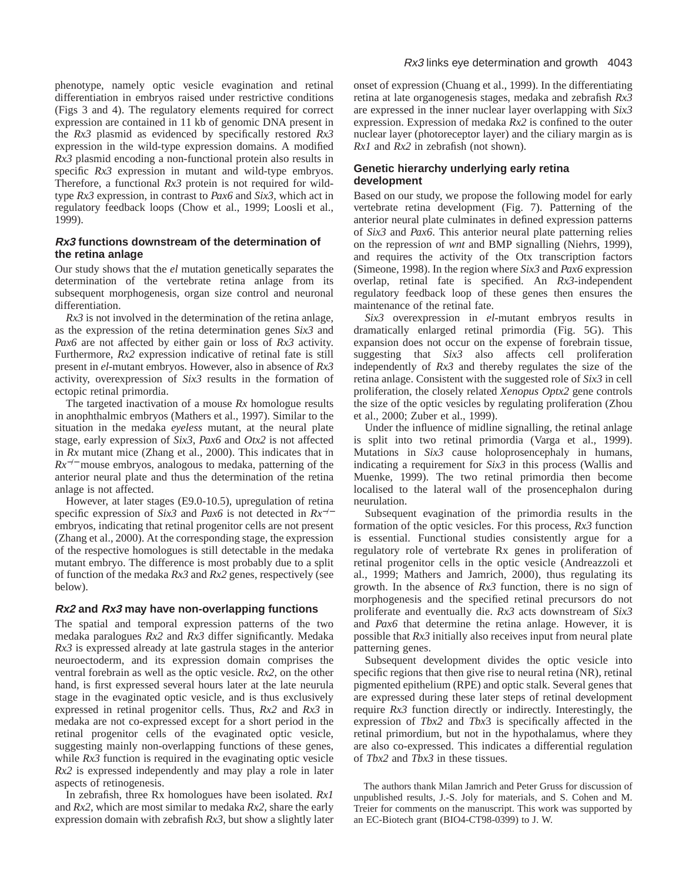phenotype, namely optic vesicle evagination and retinal differentiation in embryos raised under restrictive conditions (Figs 3 and 4). The regulatory elements required for correct expression are contained in 11 kb of genomic DNA present in the *Rx3* plasmid as evidenced by specifically restored *Rx3* expression in the wild-type expression domains. A modified *Rx3* plasmid encoding a non-functional protein also results in specific *Rx3* expression in mutant and wild-type embryos. Therefore, a functional *Rx3* protein is not required for wildtype *Rx3* expression, in contrast to *Pax6* and *Six3*, which act in regulatory feedback loops (Chow et al., 1999; Loosli et al., 1999).

# **Rx3 functions downstream of the determination of the retina anlage**

Our study shows that the *el* mutation genetically separates the determination of the vertebrate retina anlage from its subsequent morphogenesis, organ size control and neuronal differentiation.

*Rx3* is not involved in the determination of the retina anlage, as the expression of the retina determination genes *Six3* and *Pax6* are not affected by either gain or loss of *Rx3* activity. Furthermore, *Rx2* expression indicative of retinal fate is still present in *el*-mutant embryos. However, also in absence of *Rx3* activity, overexpression of *Six3* results in the formation of ectopic retinal primordia.

The targeted inactivation of a mouse *Rx* homologue results in anophthalmic embryos (Mathers et al., 1997). Similar to the situation in the medaka *eyeless* mutant, at the neural plate stage, early expression of *Six3*, *Pax6* and *Otx2* is not affected in *Rx* mutant mice (Zhang et al., 2000). This indicates that in *Rx*<sup>−/−</sup> mouse embryos, analogous to medaka, patterning of the anterior neural plate and thus the determination of the retina anlage is not affected.

However, at later stages (E9.0-10.5), upregulation of retina specific expression of *Six3* and *Pax6* is not detected in *Rx*−/<sup>−</sup> embryos, indicating that retinal progenitor cells are not present (Zhang et al., 2000). At the corresponding stage, the expression of the respective homologues is still detectable in the medaka mutant embryo. The difference is most probably due to a split of function of the medaka *Rx3* and *Rx2* genes, respectively (see below).

# **Rx2 and Rx3 may have non-overlapping functions**

The spatial and temporal expression patterns of the two medaka paralogues *Rx2* and *Rx3* differ significantly. Medaka *Rx3* is expressed already at late gastrula stages in the anterior neuroectoderm, and its expression domain comprises the ventral forebrain as well as the optic vesicle. *Rx2*, on the other hand, is first expressed several hours later at the late neurula stage in the evaginated optic vesicle, and is thus exclusively expressed in retinal progenitor cells. Thus, *Rx2* and *Rx3* in medaka are not co-expressed except for a short period in the retinal progenitor cells of the evaginated optic vesicle, suggesting mainly non-overlapping functions of these genes, while  $Rx3$  function is required in the evaginating optic vesicle *Rx2* is expressed independently and may play a role in later aspects of retinogenesis.

In zebrafish, three Rx homologues have been isolated. *Rx1* and *Rx2*, which are most similar to medaka *Rx2,* share the early expression domain with zebrafish *Rx3*, but show a slightly later

onset of expression (Chuang et al., 1999). In the differentiating retina at late organogenesis stages, medaka and zebrafish *Rx3* are expressed in the inner nuclear layer overlapping with *Six3* expression. Expression of medaka *Rx2* is confined to the outer nuclear layer (photoreceptor layer) and the ciliary margin as is *Rx1* and *Rx2* in zebrafish (not shown).

# **Genetic hierarchy underlying early retina development**

Based on our study, we propose the following model for early vertebrate retina development (Fig. 7). Patterning of the anterior neural plate culminates in defined expression patterns of *Six3* and *Pax6*. This anterior neural plate patterning relies on the repression of *wnt* and BMP signalling (Niehrs, 1999), and requires the activity of the Otx transcription factors (Simeone, 1998). In the region where *Six3* and *Pax6* expression overlap, retinal fate is specified. An *Rx3*-independent regulatory feedback loop of these genes then ensures the maintenance of the retinal fate.

*Six3* overexpression in *el*-mutant embryos results in dramatically enlarged retinal primordia (Fig. 5G). This expansion does not occur on the expense of forebrain tissue, suggesting that *Six3* also affects cell proliferation independently of *Rx3* and thereby regulates the size of the retina anlage. Consistent with the suggested role of *Six3* in cell proliferation, the closely related *Xenopus Optx2* gene controls the size of the optic vesicles by regulating proliferation (Zhou et al., 2000; Zuber et al., 1999).

Under the influence of midline signalling, the retinal anlage is split into two retinal primordia (Varga et al., 1999). Mutations in *Six3* cause holoprosencephaly in humans, indicating a requirement for *Six3* in this process (Wallis and Muenke, 1999). The two retinal primordia then become localised to the lateral wall of the prosencephalon during neurulation.

Subsequent evagination of the primordia results in the formation of the optic vesicles. For this process, *Rx3* function is essential. Functional studies consistently argue for a regulatory role of vertebrate Rx genes in proliferation of retinal progenitor cells in the optic vesicle (Andreazzoli et al., 1999; Mathers and Jamrich, 2000), thus regulating its growth. In the absence of *Rx3* function, there is no sign of morphogenesis and the specified retinal precursors do not proliferate and eventually die. *Rx3* acts downstream of *Six3* and *Pax6* that determine the retina anlage. However, it is possible that *Rx3* initially also receives input from neural plate patterning genes.

Subsequent development divides the optic vesicle into specific regions that then give rise to neural retina (NR), retinal pigmented epithelium (RPE) and optic stalk. Several genes that are expressed during these later steps of retinal development require *Rx3* function directly or indirectly. Interestingly, the expression of *Tbx2* and *Tbx*3 is specifically affected in the retinal primordium, but not in the hypothalamus, where they are also co-expressed. This indicates a differential regulation of *Tbx2* and *Tbx3* in these tissues.

The authors thank Milan Jamrich and Peter Gruss for discussion of unpublished results, J.-S. Joly for materials, and S. Cohen and M. Treier for comments on the manuscript. This work was supported by an EC-Biotech grant (BIO4-CT98-0399) to J. W.